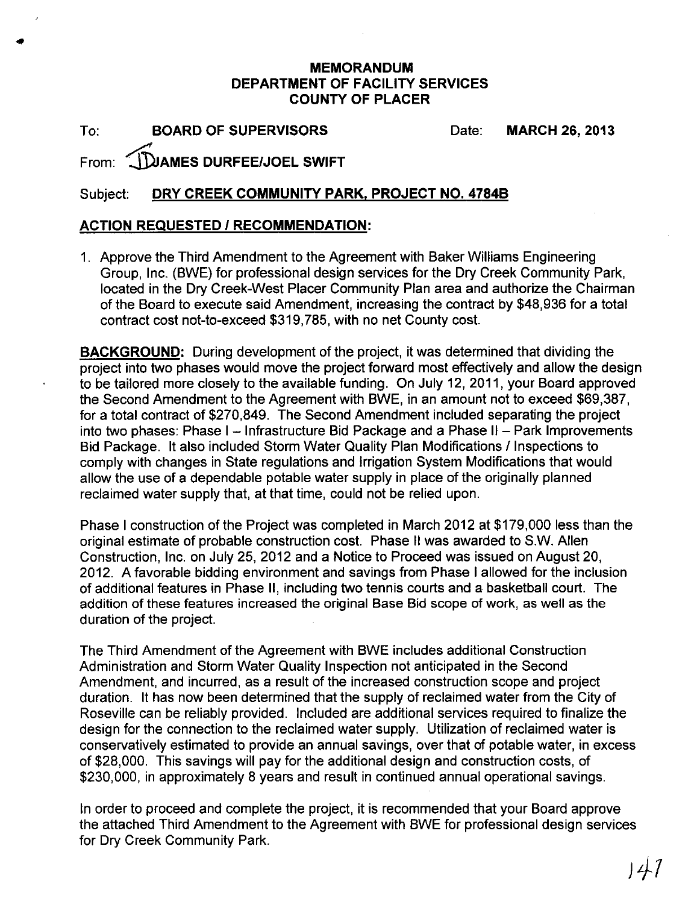## MEMORANDUM DEPARTMENT OF FACILITY SERVICES COUNTY OF PLACER

To: BOARD OF SUPERVISORS

..

Date: MARCH 26, 2013

## From: ~AMES DURFEE/JOEL SWIFT

## Subject: DRY CREEK COMMUNITY PARK, PROJECT NO. 4784B

## ACTION REQUESTED / RECOMMENDATION:

1. Approve the Third Amendment to the Agreement with Baker Williams Engineering Group, Inc. (BWE) for professional design services for the Dry Creek Community Park, located in the Dry Creek-West Placer Community Plan area and authorize the Chairman of the Board to execute said Amendment, increasing the contract by \$48,936 for a total contract cost not-to-exceed \$319,785, with no net County cost.

BACKGROUND: During development of the project, it was determined that dividing the project into two phases would move the project forward most effectively and allow the design to be tailored more closely to the available funding. On July 12, 2011, your Board approved the Second Amendment to the Agreement with BWE, in an amount not to exceed \$69,387, for a total contract of \$270,849. The Second Amendment included separating the project into two phases: Phase  $I -$  Infrastructure Bid Package and a Phase  $II -$  Park Improvements Bid Package. It also included Storm Water Quality Plan Modifications / Inspections to comply with changes in State regulations and Irrigation System Modifications that would allow the use of a dependable potable water supply in place of the originally planned reclaimed water supply that, at that time, could not be relied upon.

Phase I construction of the Project was completed in March 2012 at \$179,000 less than the original estimate of probable construction cost. Phase II was awarded to S.W. Allen Construction, Inc. on July 25,2012 and a Notice to Proceed was issued on August 20, 2012. A favorable bidding environment and savings from Phase I allowed for the inclusion of additional features in Phase II, including two tennis courts and a basketball court. The addition of these features increased the original Base Bid scope of work, as well as the duration of the project.

The Third Amendment of the Agreement with BWE includes additional Construction Administration and Storm Water Quality Inspection not anticipated in the Second Amendment, and incurred, as a result of the increased construction scope and project duration. It has now been determined that the supply of reclaimed water from the City of Roseville can be reliably provided. Included are additional services required to finalize the design for the connection to the reclaimed water supply. Utilization of reclaimed water is conservatively estimated to provide an annual savings, over that of potable water, in excess of \$28,000. This savings will pay for the additional design and construction costs, of \$230,000, in approximately 8 years and result in continued annual operational savings.

In order to proceed and complete the project, it is recommended that your Board approve the attached Third Amendment to the Agreement with BWE for professional design services for Dry Creek Community Park.